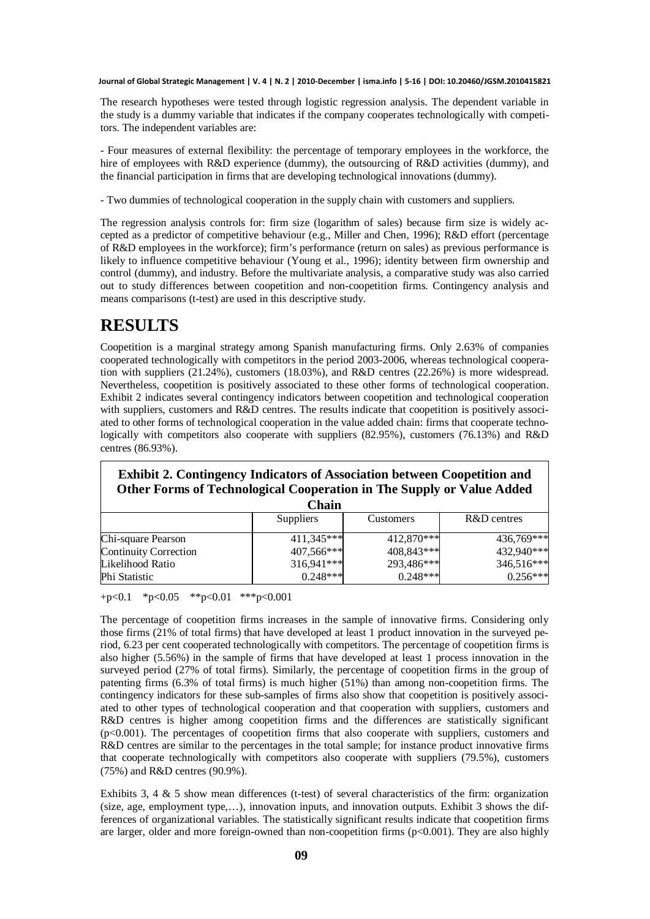The research hypotheses were tested through logistic regression analysis. The dependent variable in the study is a dummy variable that indicates if the company cooperates technologically with competitors. The independent variables are:

- Four measures of external flexibility: the percentage of temporary employees in the workforce, the hire of employees with R&D experience (dummy), the outsourcing of R&D activities (dummy), and the financial participation in firms that are developing technological innovations (dummy).

- Two dummies of technological cooperation in the supply chain with customers and suppliers.

The regression analysis controls for: firm size (logarithm of sales) because firm size is widely accepted as a predictor of competitive behaviour (e.g., Miller and Chen, 1996); R&D effort (percentage of R&D employees in the workforce); firm's performance (return on sales) as previous performance is likely to influence competitive behaviour (Young et al., 1996); identity between firm ownership and control (dummy), and industry. Before the multivariate analysis, a comparative study was also carried out to study differences between coopetition and non-coopetition firms. Contingency analysis and means comparisons (t-test) are used in this descriptive study.

## **RESULTS**

Coopetition is a marginal strategy among Spanish manufacturing firms. Only 2.63% of companies cooperated technologically with competitors in the period 2003-2006, whereas technological cooperation with suppliers (21.24%), customers (18.03%), and R&D centres (22.26%) is more widespread. Nevertheless, coopetition is positively associated to these other forms of technological cooperation. Exhibit 2 indicates several contingency indicators between coopetition and technological cooperation with suppliers, customers and R&D centres. The results indicate that coopetition is positively associated to other forms of technological cooperation in the value added chain: firms that cooperate technologically with competitors also cooperate with suppliers (82.95%), customers (76.13%) and R&D centres (86.93%).

### **Exhibit 2. Contingency Indicators of Association between Coopetition and Other Forms of Technological Cooperation in The Supply or Value Added**

| Chain                        |                  |                  |             |  |  |
|------------------------------|------------------|------------------|-------------|--|--|
|                              | <b>Suppliers</b> | <b>Customers</b> | R&D centres |  |  |
| Chi-square Pearson           | 411.345***       | 412,870***       | 436.769***  |  |  |
| <b>Continuity Correction</b> | 407,566***       | 408,843***       | 432,940***  |  |  |
| Likelihood Ratio             | $316,941***$     | 293,486***       | 346,516***  |  |  |
| Phi Statistic                | $0.248***$       | $0.248***$       | $0.256***$  |  |  |

+p<0.1  $*$ p<0.05  $*$  $p$ <0.01  $*$  $*$  $p$ <0.001

The percentage of coopetition firms increases in the sample of innovative firms. Considering only those firms (21% of total firms) that have developed at least 1 product innovation in the surveyed period, 6.23 per cent cooperated technologically with competitors. The percentage of coopetition firms is also higher (5.56%) in the sample of firms that have developed at least 1 process innovation in the surveyed period (27% of total firms). Similarly, the percentage of coopetition firms in the group of patenting firms (6.3% of total firms) is much higher (51%) than among non-coopetition firms. The contingency indicators for these sub-samples of firms also show that coopetition is positively associated to other types of technological cooperation and that cooperation with suppliers, customers and R&D centres is higher among coopetition firms and the differences are statistically significant (p<0.001). The percentages of coopetition firms that also cooperate with suppliers, customers and R&D centres are similar to the percentages in the total sample; for instance product innovative firms that cooperate technologically with competitors also cooperate with suppliers (79.5%), customers (75%) and R&D centres (90.9%).

Exhibits 3, 4  $\&$  5 show mean differences (t-test) of several characteristics of the firm: organization (size, age, employment type,…), innovation inputs, and innovation outputs. Exhibit 3 shows the differences of organizational variables. The statistically significant results indicate that coopetition firms are larger, older and more foreign-owned than non-coopetition firms (p<0.001). They are also highly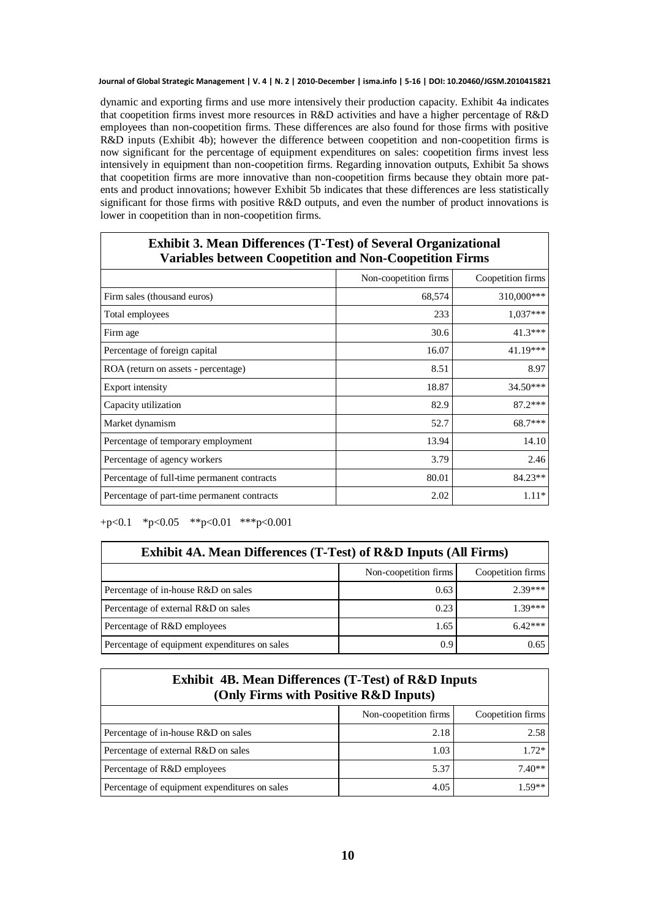dynamic and exporting firms and use more intensively their production capacity. Exhibit 4a indicates that coopetition firms invest more resources in R&D activities and have a higher percentage of R&D employees than non-coopetition firms. These differences are also found for those firms with positive R&D inputs (Exhibit 4b); however the difference between coopetition and non-coopetition firms is now significant for the percentage of equipment expenditures on sales: coopetition firms invest less intensively in equipment than non-coopetition firms. Regarding innovation outputs, Exhibit 5a shows that coopetition firms are more innovative than non-coopetition firms because they obtain more patents and product innovations; however Exhibit 5b indicates that these differences are less statistically significant for those firms with positive R&D outputs, and even the number of product innovations is lower in coopetition than in non-coopetition firms.

┑

| <b>Exhibit 3. Mean Differences (T-Test) of Several Organizational</b><br><b>Variables between Coopetition and Non-Coopetition Firms</b> |                       |                   |  |  |
|-----------------------------------------------------------------------------------------------------------------------------------------|-----------------------|-------------------|--|--|
|                                                                                                                                         | Non-coopetition firms | Coopetition firms |  |  |
| Firm sales (thousand euros)                                                                                                             | 68,574                | 310,000***        |  |  |
| Total employees                                                                                                                         | 233                   | $1.037***$        |  |  |
| Firm age                                                                                                                                | 30.6                  | $41.3***$         |  |  |
| Percentage of foreign capital                                                                                                           | 16.07                 | 41.19***          |  |  |
| ROA (return on assets - percentage)                                                                                                     | 8.51                  | 8.97              |  |  |
| Export intensity                                                                                                                        | 18.87                 | $34.50***$        |  |  |
| Capacity utilization                                                                                                                    | 82.9                  | $87.2***$         |  |  |
| Market dynamism                                                                                                                         | 52.7                  | $68.7***$         |  |  |
| Percentage of temporary employment                                                                                                      | 13.94                 | 14.10             |  |  |
| Percentage of agency workers                                                                                                            | 3.79                  | 2.46              |  |  |
| Percentage of full-time permanent contracts                                                                                             | 80.01                 | $84.23**$         |  |  |
| Percentage of part-time permanent contracts                                                                                             | 2.02                  | $1.11*$           |  |  |

+p<0.1 \*p<0.05 \*\*p<0.01 \*\*\*p<0.001

ſ

| <b>Exhibit 4A. Mean Differences (T-Test) of R&amp;D Inputs (All Firms)</b> |                       |                   |  |  |
|----------------------------------------------------------------------------|-----------------------|-------------------|--|--|
|                                                                            | Non-coopetition firms | Coopetition firms |  |  |
| Percentage of in-house R&D on sales                                        | 0.63                  | $2.39***$         |  |  |
| Percentage of external R&D on sales                                        | 0.23                  | $1.39***$         |  |  |
| Percentage of R&D employees                                                | 1.65                  | $6.42***$         |  |  |
| Percentage of equipment expenditures on sales                              | 0.9                   | 0.65              |  |  |

### **Exhibit 4B. Mean Differences (T-Test) of R&D Inputs (Only Firms with Positive R&D Inputs)**

|                                               | Non-coopetition firms | Coopetition firms |
|-----------------------------------------------|-----------------------|-------------------|
| Percentage of in-house R&D on sales           | 2.18                  | 2.58              |
| Percentage of external R&D on sales           | 1.03                  | $1.72*$           |
| Percentage of R&D employees                   | 5.37                  | $7.40**$          |
| Percentage of equipment expenditures on sales | 4.05                  | $159**$           |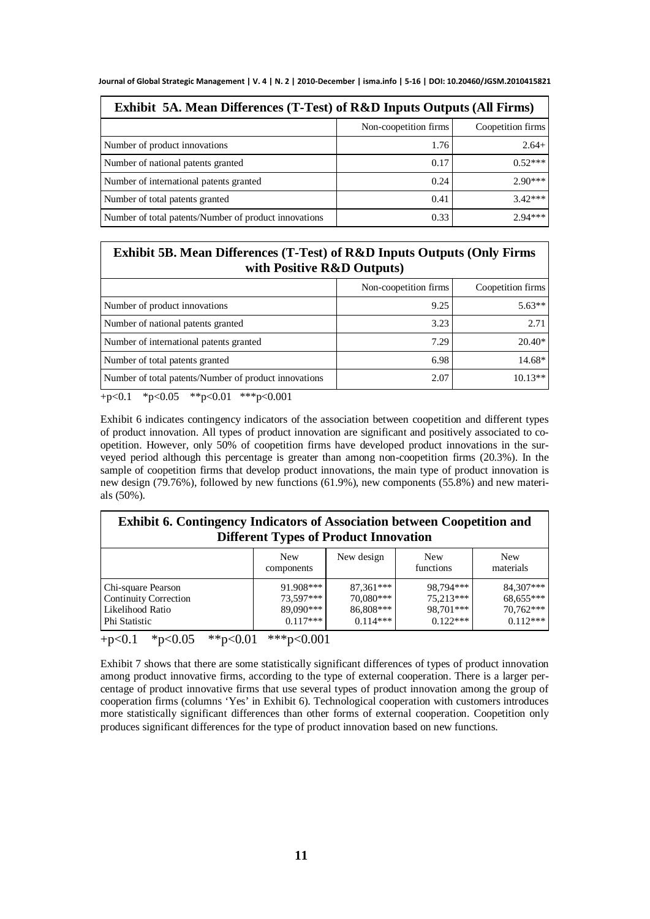| <b>Exhibit 5A. Mean Differences (T-Test) of R&amp;D Inputs Outputs (All Firms)</b> |                       |                   |  |  |  |
|------------------------------------------------------------------------------------|-----------------------|-------------------|--|--|--|
|                                                                                    | Non-coopetition firms | Coopetition firms |  |  |  |
| Number of product innovations                                                      | 1.76                  | $2.64+$           |  |  |  |
| Number of national patents granted                                                 | 0.17                  | $0.52***$         |  |  |  |
| Number of international patents granted                                            | 0.24                  | $2.90***$         |  |  |  |
| Number of total patents granted                                                    | 0.41                  | $3.42***$         |  |  |  |
| Number of total patents/Number of product innovations                              | 0.33                  | $2.94***$         |  |  |  |

### **Exhibit 5B. Mean Differences (T-Test) of R&D Inputs Outputs (Only Firms with Positive R&D Outputs)**

|                                                       | Non-coopetition firms | Coopetition firms |
|-------------------------------------------------------|-----------------------|-------------------|
| Number of product innovations                         | 9.25                  | $5.63**$          |
| Number of national patents granted                    | 3.23                  | 2.71              |
| Number of international patents granted               | 7.29                  | $20.40*$          |
| Number of total patents granted                       | 6.98                  | 14.68*            |
| Number of total patents/Number of product innovations | 2.07                  | $10.13**$         |

+p<0.1 \*p<0.05 \*\*p<0.01 \*\*\*p<0.001

Exhibit 6 indicates contingency indicators of the association between coopetition and different types of product innovation. All types of product innovation are significant and positively associated to coopetition. However, only 50% of coopetition firms have developed product innovations in the surveyed period although this percentage is greater than among non-coopetition firms (20.3%). In the sample of coopetition firms that develop product innovations, the main type of product innovation is new design (79.76%), followed by new functions (61.9%), new components (55.8%) and new materials (50%).

### **Exhibit 6. Contingency Indicators of Association between Coopetition and Different Types of Product Innovation**

|                       | <b>New</b><br>components | New design  | <b>New</b><br>functions | <b>New</b><br>materials |
|-----------------------|--------------------------|-------------|-------------------------|-------------------------|
| Chi-square Pearson    | 91.908***                | 87,361***   | 98,794***               | 84,307***               |
| Continuity Correction | 73,597*** I              | $70,080***$ | 75.213***               | 68,655***               |
| Likelihood Ratio      | 89,090***                | 86,808***   | 98,701***               | 70.762***               |
| Phi Statistic         | $0.117***$               | $0.114***$  | $0.122***$              | $0.112***$              |

+p<0.1  $*p<0.05$   $*p<0.01$   $**p<0.001$ 

Exhibit 7 shows that there are some statistically significant differences of types of product innovation among product innovative firms, according to the type of external cooperation. There is a larger percentage of product innovative firms that use several types of product innovation among the group of cooperation firms (columns 'Yes' in Exhibit 6). Technological cooperation with customers introduces more statistically significant differences than other forms of external cooperation. Coopetition only produces significant differences for the type of product innovation based on new functions.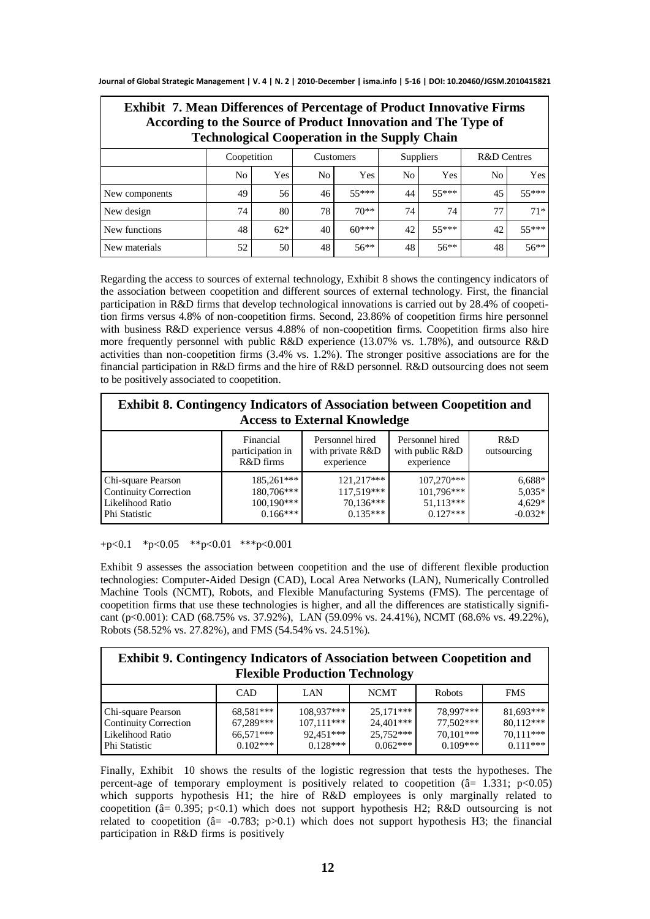| <b>Exhibit 7. Mean Differences of Percentage of Product Innovative Firms</b><br>According to the Source of Product Innovation and The Type of<br><b>Technological Cooperation in the Supply Chain</b> |                |       |                |           |                |           |             |        |
|-------------------------------------------------------------------------------------------------------------------------------------------------------------------------------------------------------|----------------|-------|----------------|-----------|----------------|-----------|-------------|--------|
|                                                                                                                                                                                                       | Coopetition    |       |                | Customers |                | Suppliers | R&D Centres |        |
|                                                                                                                                                                                                       | N <sub>o</sub> | Yes   | N <sub>0</sub> | Yes       | N <sub>0</sub> | Yes       | No          | Yes    |
| New components                                                                                                                                                                                        | 49             | 56    | 46             | $55***$   | 44             | $55***$   | 45          | 55***  |
| New design                                                                                                                                                                                            | 74             | 80    | 78             | $70**$    | 74             | 74        | 77          | $71*$  |
| New functions                                                                                                                                                                                         | 48             | $62*$ | 40             | $60***$   | 42             | $55***$   | 42          | 55***  |
| New materials                                                                                                                                                                                         | 52             | 50    | 48             | $56**$    | 48             | $56**$    | 48          | $56**$ |

Regarding the access to sources of external technology, Exhibit 8 shows the contingency indicators of the association between coopetition and different sources of external technology. First, the financial participation in R&D firms that develop technological innovations is carried out by 28.4% of coopetition firms versus 4.8% of non-coopetition firms. Second, 23.86% of coopetition firms hire personnel with business R&D experience versus 4.88% of non-coopetition firms. Coopetition firms also hire more frequently personnel with public R&D experience (13.07% vs. 1.78%), and outsource R&D activities than non-coopetition firms (3.4% vs. 1.2%). The stronger positive associations are for the financial participation in R&D firms and the hire of R&D personnel. R&D outsourcing does not seem to be positively associated to coopetition.

| <b>Exhibit 8. Contingency Indicators of Association between Coopetition and</b><br><b>Access to External Knowledge</b> |                                                        |                                                     |                                                         |                                               |
|------------------------------------------------------------------------------------------------------------------------|--------------------------------------------------------|-----------------------------------------------------|---------------------------------------------------------|-----------------------------------------------|
|                                                                                                                        | Financial<br>participation in<br>R&D firms             | Personnel hired<br>with private R&D<br>experience   | Personnel hired<br>with public R&D<br>experience        | R&D<br>outsourcing                            |
| Chi-square Pearson<br><b>Continuity Correction</b><br>Likelihood Ratio<br>Phi Statistic                                | 185,261***<br>180,706***<br>$100,190***$<br>$0.166***$ | 121,217***<br>117,519***<br>70.136***<br>$0.135***$ | $107,270***$<br>101,796***<br>$51,113***$<br>$0.127***$ | $6,688*$<br>$5,035*$<br>$4,629*$<br>$-0.032*$ |

+p<0.1  $*$ p<0.05  $*$  $p$ <0.01  $*$  $*$  $p$ <0.001

Exhibit 9 assesses the association between coopetition and the use of different flexible production technologies: Computer-Aided Design (CAD), Local Area Networks (LAN), Numerically Controlled Machine Tools (NCMT), Robots, and Flexible Manufacturing Systems (FMS). The percentage of coopetition firms that use these technologies is higher, and all the differences are statistically significant (p<0.001): CAD (68.75% vs. 37.92%), LAN (59.09% vs. 24.41%), NCMT (68.6% vs. 49.22%), Robots (58.52% vs. 27.82%), and FMS (54.54% vs. 24.51%).

| <b>Exhibit 9. Contingency Indicators of Association between Coopetition and</b><br><b>Flexible Production Technology</b> |                                                     |                                                       |                                                     |                                                     |                                                   |
|--------------------------------------------------------------------------------------------------------------------------|-----------------------------------------------------|-------------------------------------------------------|-----------------------------------------------------|-----------------------------------------------------|---------------------------------------------------|
|                                                                                                                          | <b>CAD</b>                                          | LAN                                                   | <b>NCMT</b>                                         | Robots                                              | <b>FMS</b>                                        |
| Chi-square Pearson<br><b>Continuity Correction</b><br>Likelihood Ratio<br>Phi Statistic                                  | 68,581***<br>67.289***<br>$66,571***$<br>$0.102***$ | 108,937***<br>$107,111***$<br>92.451***<br>$0.128***$ | $25,171***$<br>24,401***<br>25,752***<br>$0.062***$ | 78.997***<br>77,502***<br>$70,101***$<br>$0.109***$ | 81,693***<br>80,112***<br>70,111***<br>$0.111***$ |

Finally, Exhibit 10 shows the results of the logistic regression that tests the hypotheses. The percent-age of temporary employment is positively related to coopetition ( $\hat{a}$  = 1.331; p<0.05) which supports hypothesis H1; the hire of R&D employees is only marginally related to coopetition ( $â= 0.395$ ;  $p<0.1$ ) which does not support hypothesis H2; R&D outsourcing is not related to coopetition  $(\hat{a} = -0.783; p > 0.1)$  which does not support hypothesis H3; the financial participation in R&D firms is positively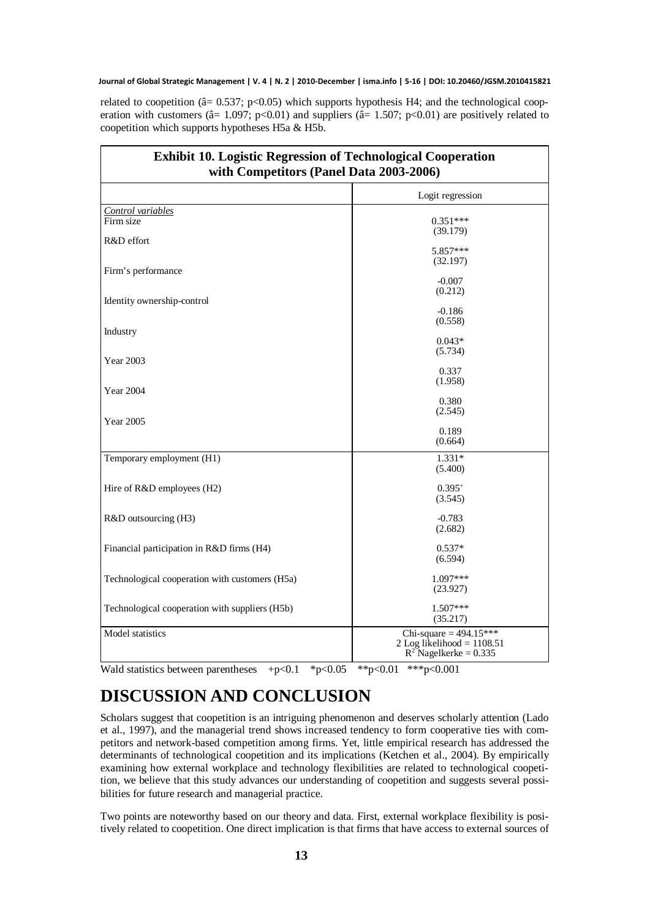related to coopetition ( $\hat{a}$ = 0.537; p<0.05) which supports hypothesis H4; and the technological cooperation with customers (â= 1.097;  $p<0.01$ ) and suppliers (â= 1.507;  $p<0.01$ ) are positively related to coopetition which supports hypotheses H5a & H5b.

| <b>Exhibit 10. Logistic Regression of Technological Cooperation</b><br>with Competitors (Panel Data 2003-2006) |                                                                                      |  |  |  |
|----------------------------------------------------------------------------------------------------------------|--------------------------------------------------------------------------------------|--|--|--|
|                                                                                                                | Logit regression                                                                     |  |  |  |
| Control variables<br>Firm size                                                                                 | $0.351***$<br>(39.179)                                                               |  |  |  |
| R&D effort                                                                                                     | 5.857***                                                                             |  |  |  |
| Firm's performance                                                                                             | (32.197)                                                                             |  |  |  |
| Identity ownership-control                                                                                     | $-0.007$<br>(0.212)                                                                  |  |  |  |
|                                                                                                                | $-0.186$<br>(0.558)                                                                  |  |  |  |
| Industry                                                                                                       | $0.043*$<br>(5.734)                                                                  |  |  |  |
| Year 2003                                                                                                      | 0.337                                                                                |  |  |  |
| <b>Year 2004</b>                                                                                               | (1.958)<br>0.380                                                                     |  |  |  |
| <b>Year 2005</b>                                                                                               | (2.545)                                                                              |  |  |  |
|                                                                                                                | 0.189<br>(0.664)                                                                     |  |  |  |
| Temporary employment (H1)                                                                                      | $1.331*$<br>(5.400)                                                                  |  |  |  |
| Hire of R&D employees (H2)                                                                                     | $0.395^{+}$<br>(3.545)                                                               |  |  |  |
| R&D outsourcing (H3)                                                                                           | $-0.783$<br>(2.682)                                                                  |  |  |  |
| Financial participation in R&D firms (H4)                                                                      | $0.537*$<br>(6.594)                                                                  |  |  |  |
| Technological cooperation with customers (H5a)                                                                 | $1.097***$<br>(23.927)                                                               |  |  |  |
| Technological cooperation with suppliers (H5b)                                                                 | 1.507***<br>(35.217)                                                                 |  |  |  |
| Model statistics                                                                                               | Chi-square = $494.15***$<br>2 Log likelihood = $1108.51$<br>$R^2$ Nagelkerke = 0.335 |  |  |  |

Wald statistics between parentheses  $+p<0.1$  \*p $<0.05$  \*\*p $<0.01$  \*\*p $<0.001$ 

# **DISCUSSION AND CONCLUSION**

Scholars suggest that coopetition is an intriguing phenomenon and deserves scholarly attention (Lado et al., 1997), and the managerial trend shows increased tendency to form cooperative ties with competitors and network-based competition among firms. Yet, little empirical research has addressed the determinants of technological coopetition and its implications (Ketchen et al., 2004). By empirically examining how external workplace and technology flexibilities are related to technological coopetition, we believe that this study advances our understanding of coopetition and suggests several possibilities for future research and managerial practice.

Two points are noteworthy based on our theory and data. First, external workplace flexibility is positively related to coopetition. One direct implication is that firms that have access to external sources of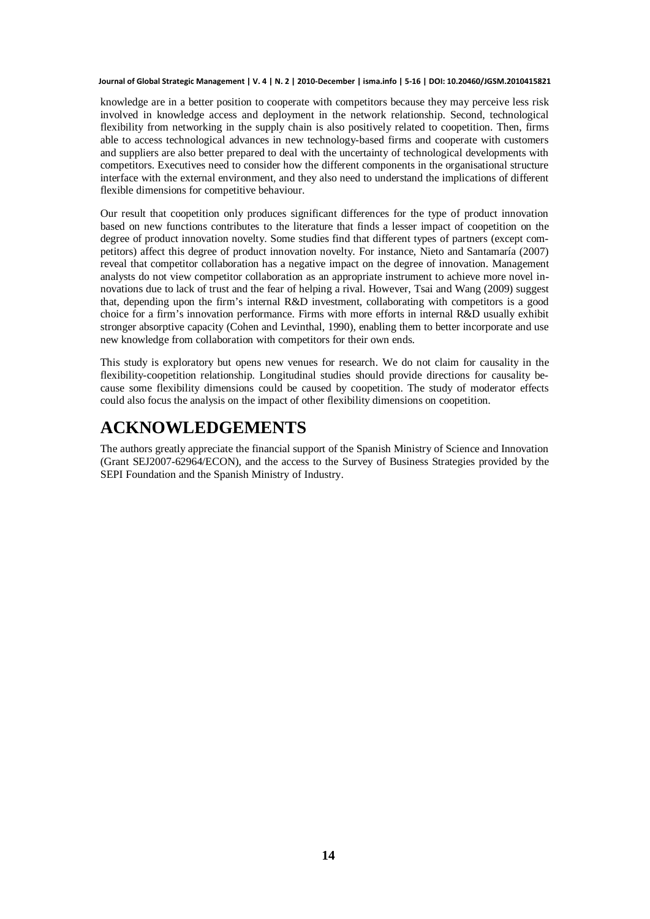knowledge are in a better position to cooperate with competitors because they may perceive less risk involved in knowledge access and deployment in the network relationship. Second, technological flexibility from networking in the supply chain is also positively related to coopetition. Then, firms able to access technological advances in new technology-based firms and cooperate with customers and suppliers are also better prepared to deal with the uncertainty of technological developments with competitors. Executives need to consider how the different components in the organisational structure interface with the external environment, and they also need to understand the implications of different flexible dimensions for competitive behaviour.

Our result that coopetition only produces significant differences for the type of product innovation based on new functions contributes to the literature that finds a lesser impact of coopetition on the degree of product innovation novelty. Some studies find that different types of partners (except competitors) affect this degree of product innovation novelty. For instance, Nieto and Santamaría (2007) reveal that competitor collaboration has a negative impact on the degree of innovation. Management analysts do not view competitor collaboration as an appropriate instrument to achieve more novel innovations due to lack of trust and the fear of helping a rival. However, Tsai and Wang (2009) suggest that, depending upon the firm's internal R&D investment, collaborating with competitors is a good choice for a firm's innovation performance. Firms with more efforts in internal R&D usually exhibit stronger absorptive capacity (Cohen and Levinthal, 1990), enabling them to better incorporate and use new knowledge from collaboration with competitors for their own ends.

This study is exploratory but opens new venues for research. We do not claim for causality in the flexibility-coopetition relationship. Longitudinal studies should provide directions for causality because some flexibility dimensions could be caused by coopetition. The study of moderator effects could also focus the analysis on the impact of other flexibility dimensions on coopetition.

## **ACKNOWLEDGEMENTS**

The authors greatly appreciate the financial support of the Spanish Ministry of Science and Innovation (Grant SEJ2007-62964/ECON), and the access to the Survey of Business Strategies provided by the SEPI Foundation and the Spanish Ministry of Industry.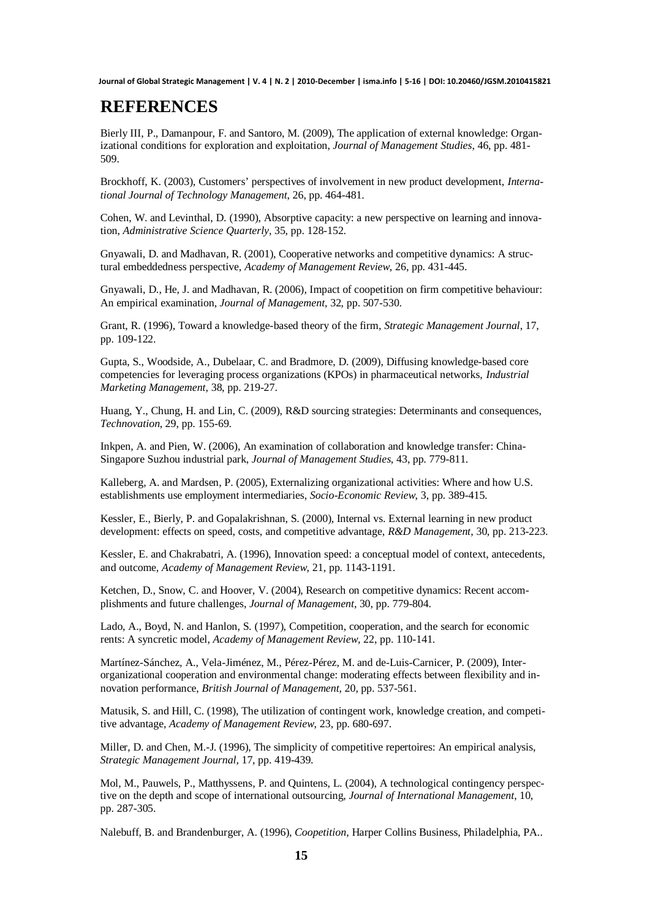# **REFERENCES**

Bierly III, P., Damanpour, F. and Santoro, M. (2009), The application of external knowledge: Organizational conditions for exploration and exploitation, *Journal of Management Studies*, 46, pp. 481- 509.

Brockhoff, K. (2003), Customers' perspectives of involvement in new product development, *International Journal of Technology Management*, 26, pp. 464-481.

Cohen, W. and Levinthal, D. (1990), Absorptive capacity: a new perspective on learning and innovation, *Administrative Science Quarterly*, 35, pp. 128-152.

Gnyawali, D. and Madhavan, R. (2001), Cooperative networks and competitive dynamics: A structural embeddedness perspective, *Academy of Management Review*, 26, pp. 431-445.

Gnyawali, D., He, J. and Madhavan, R. (2006), Impact of coopetition on firm competitive behaviour: An empirical examination, *Journal of Management*, 32, pp. 507-530.

Grant, R. (1996), Toward a knowledge-based theory of the firm, *Strategic Management Journal*, 17, pp. 109-122.

Gupta, S., Woodside, A., Dubelaar, C. and Bradmore, D. (2009), Diffusing knowledge-based core competencies for leveraging process organizations (KPOs) in pharmaceutical networks, *Industrial Marketing Management*, 38, pp. 219-27.

Huang, Y., Chung, H. and Lin, C. (2009), R&D sourcing strategies: Determinants and consequences, *Technovation*, 29, pp. 155-69.

Inkpen, A. and Pien, W. (2006), An examination of collaboration and knowledge transfer: China-Singapore Suzhou industrial park, *Journal of Management Studies*, 43, pp. 779-811.

Kalleberg, A. and Mardsen, P. (2005), Externalizing organizational activities: Where and how U.S. establishments use employment intermediaries, *Socio-Economic Review*, 3, pp. 389-415.

Kessler, E., Bierly, P. and Gopalakrishnan, S. (2000), Internal vs. External learning in new product development: effects on speed, costs, and competitive advantage, *R&D Management*, 30, pp. 213-223.

Kessler, E. and Chakrabatri, A. (1996), Innovation speed: a conceptual model of context, antecedents, and outcome, *Academy of Management Review*, 21, pp. 1143-1191.

Ketchen, D., Snow, C. and Hoover, V. (2004), Research on competitive dynamics: Recent accomplishments and future challenges, *Journal of Management*, 30, pp. 779-804.

Lado, A., Boyd, N. and Hanlon, S. (1997), Competition, cooperation, and the search for economic rents: A syncretic model, *Academy of Management Review*, 22, pp. 110-141.

Martínez-Sánchez, A., Vela-Jiménez, M., Pérez-Pérez, M. and de-Luis-Carnicer, P. (2009), Interorganizational cooperation and environmental change: moderating effects between flexibility and innovation performance, *British Journal of Management*, 20, pp. 537-561.

Matusik, S. and Hill, C. (1998), The utilization of contingent work, knowledge creation, and competitive advantage, *Academy of Management Review*, 23, pp. 680-697.

Miller, D. and Chen, M.-J. (1996), The simplicity of competitive repertoires: An empirical analysis, *Strategic Management Journal*, 17, pp. 419-439.

Mol, M., Pauwels, P., Matthyssens, P. and Quintens, L. (2004), A technological contingency perspective on the depth and scope of international outsourcing, *Journal of International Management*, 10, pp. 287-305.

Nalebuff, B. and Brandenburger, A. (1996), *Coopetition*, Harper Collins Business, Philadelphia, PA..